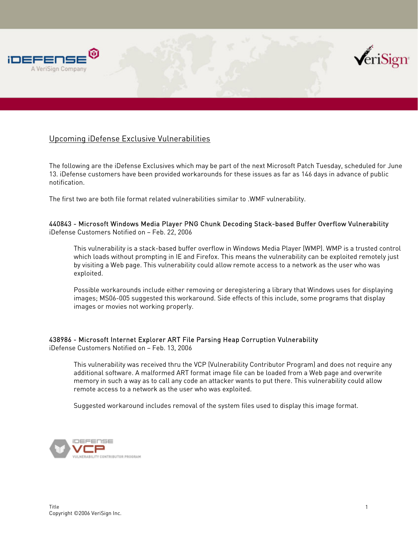



## Upcoming iDefense Exclusive Vulnerabilities

The following are the iDefense Exclusives which may be part of the next Microsoft Patch Tuesday, scheduled for June 13. iDefense customers have been provided workarounds for these issues as far as 146 days in advance of public notification.

The first two are both file format related vulnerabilities similar to .WMF vulnerability.

440843 - Microsoft Windows Media Player PNG Chunk Decoding Stack-based Buffer Overflow Vulnerability iDefense Customers Notified on – Feb. 22, 2006

This vulnerability is a stack-based buffer overflow in Windows Media Player (WMP). WMP is a trusted control which loads without prompting in IE and Firefox. This means the vulnerability can be exploited remotely just by visiting a Web page. This vulnerability could allow remote access to a network as the user who was exploited.

Possible workarounds include either removing or deregistering a library that Windows uses for displaying images; MS06-005 suggested this workaround. Side effects of this include, some programs that display images or movies not working properly.

## 438986 - Microsoft Internet Explorer ART File Parsing Heap Corruption Vulnerability

iDefense Customers Notified on – Feb. 13, 2006

This vulnerability was received thru the VCP (Vulnerability Contributor Program) and does not require any additional software. A malformed ART format image file can be loaded from a Web page and overwrite memory in such a way as to call any code an attacker wants to put there. This vulnerability could allow remote access to a network as the user who was exploited.

Suggested workaround includes removal of the system files used to display this image format.